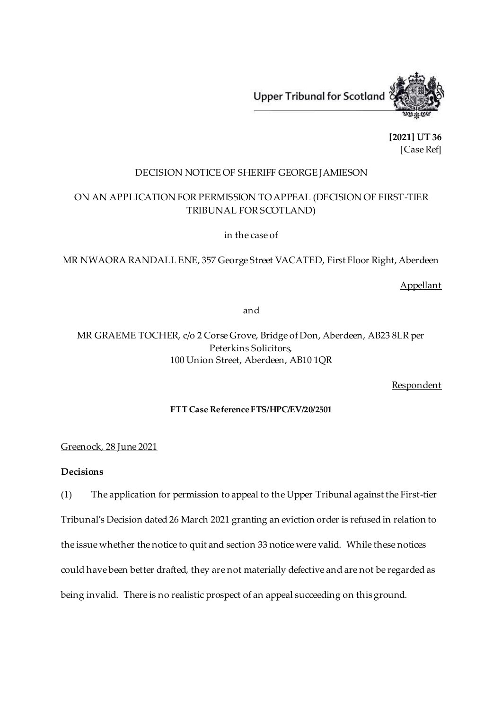Upper Tribunal for Scotland



**[2021] UT 36** [Case Ref]

## DECISION NOTICE OF SHERIFF GEORGE JAMIESON

# ON AN APPLICATION FOR PERMISSION TO APPEAL (DECISION OF FIRST-TIER TRIBUNAL FOR SCOTLAND)

in the case of

MR NWAORA RANDALL ENE, 357 George Street VACATED, First Floor Right, Aberdeen

## Appellant

and

MR GRAEME TOCHER, c/o 2 Corse Grove, Bridge of Don, Aberdeen, AB23 8LR per Peterkins Solicitors, 100 Union Street, Aberdeen, AB10 1QR

Respondent

### **FTT Case Reference FTS/HPC/EV/20/2501**

#### Greenock, 28 June 2021

## **Decisions**

(1) The application for permission to appeal to the Upper Tribunal against the First-tier Tribunal's Decision dated 26 March 2021 granting an eviction order is refused in relation to the issue whether the notice to quit and section 33 notice were valid. While these notices could have been better drafted, they are not materially defective and are not be regarded as being invalid. There is no realistic prospect of an appeal succeeding on this ground.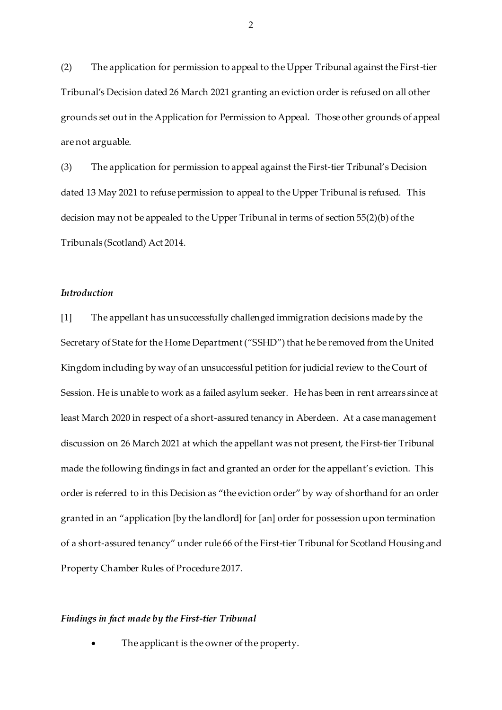(2) The application for permission to appeal to the Upper Tribunal against the First-tier Tribunal's Decision dated 26 March 2021 granting an eviction order is refused on all other grounds set out in the Application for Permission to Appeal. Those other grounds of appeal are not arguable.

(3) The application for permission to appeal against the First-tier Tribunal's Decision dated 13 May 2021 to refuse permission to appeal to the Upper Tribunal is refused. This decision may not be appealed to the Upper Tribunal in terms of section 55(2)(b) of the Tribunals (Scotland) Act 2014.

## *Introduction*

[1] The appellant has unsuccessfully challenged immigration decisions made by the Secretary of State for the Home Department ("SSHD") that he be removed from the United Kingdom including by way of an unsuccessful petition for judicial review to the Court of Session. He is unable to work as a failed asylum seeker. He has been in rent arrears since at least March 2020 in respect of a short-assured tenancy in Aberdeen. At a case management discussion on 26 March 2021 at which the appellant was not present, the First-tier Tribunal made the following findings in fact and granted an order for the appellant's eviction. This order is referred to in this Decision as "the eviction order" by way of shorthand for an order granted in an "application [by the landlord] for [an] order for possession upon termination of a short-assured tenancy" under rule 66 of the First-tier Tribunal for Scotland Housing and Property Chamber Rules of Procedure 2017.

#### *Findings in fact made by the First-tier Tribunal*

The applicant is the owner of the property.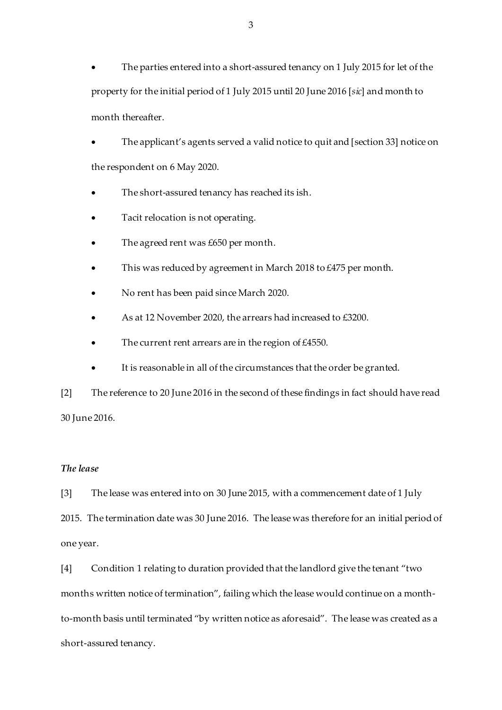The parties entered into a short-assured tenancy on 1 July 2015 for let of the property for the initial period of 1 July 2015 until 20 June 2016 [*sic*] and month to month thereafter.

 The applicant's agents served a valid notice to quit and [section 33] notice on the respondent on 6 May 2020.

- The short-assured tenancy has reached its ish.
- Tacit relocation is not operating.
- The agreed rent was £650 per month.
- This was reduced by agreement in March 2018 to £475 per month.
- No rent has been paid since March 2020.
- As at 12 November 2020, the arrears had increased to £3200.
- The current rent arrears are in the region of £4550.
- It is reasonable in all of the circumstances that the order be granted.

[2] The reference to 20 June 2016 in the second of these findings in fact should have read 30 June 2016.

#### *The lease*

[3] The lease was entered into on 30 June 2015, with a commencement date of 1 July 2015. The termination date was 30 June 2016. The lease was therefore for an initial period of one year.

[4] Condition 1 relating to duration provided that the landlord give the tenant "two months written notice of termination", failing which the lease would continue on a monthto-month basis until terminated "by written notice as aforesaid". The lease was created as a short-assured tenancy.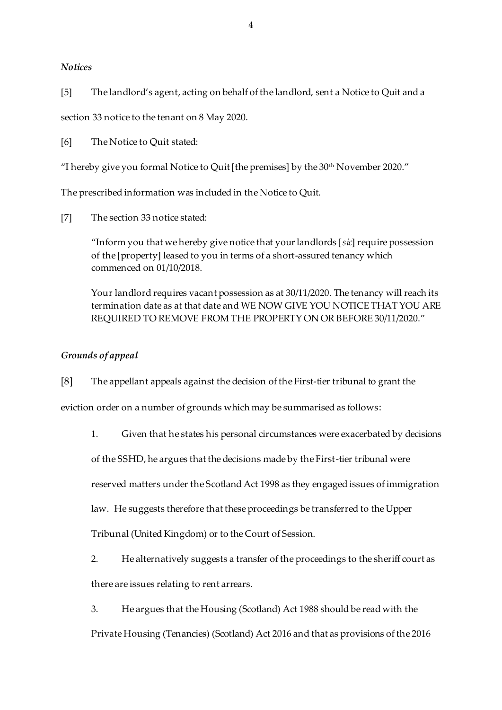## *Notices*

[5] The landlord's agent, acting on behalf of the landlord, sent a Notice to Quit and a

section 33 notice to the tenant on 8 May 2020.

[6] The Notice to Quit stated:

"I hereby give you formal Notice to Quit [the premises] by the 30<sup>th</sup> November 2020."

The prescribed information was included in the Notice to Quit.

[7] The section 33 notice stated:

"Inform you that we hereby give notice that your landlords [*sic*] require possession of the [property] leased to you in terms of a short-assured tenancy which commenced on 01/10/2018.

Your landlord requires vacant possession as at 30/11/2020. The tenancy will reach its termination date as at that date and WE NOW GIVE YOU NOTICE THAT YOU ARE REQUIRED TO REMOVE FROM THE PROPERTY ON OR BEFORE 30/11/2020."

# *Grounds of appeal*

[8] The appellant appeals against the decision of the First-tier tribunal to grant the

eviction order on a number of grounds which may be summarised as follows:

1. Given that he states his personal circumstances were exacerbated by decisions

of the SSHD, he argues that the decisions made by the First-tier tribunal were

reserved matters under the Scotland Act 1998 as they engaged issues of immigration

law. He suggests therefore that these proceedings be transferred to the Upper

Tribunal (United Kingdom) or to the Court of Session.

2. He alternatively suggests a transfer of the proceedings to the sheriff court as

there are issues relating to rent arrears.

3. He argues that the Housing (Scotland) Act 1988 should be read with the Private Housing (Tenancies) (Scotland) Act 2016 and that as provisions of the 2016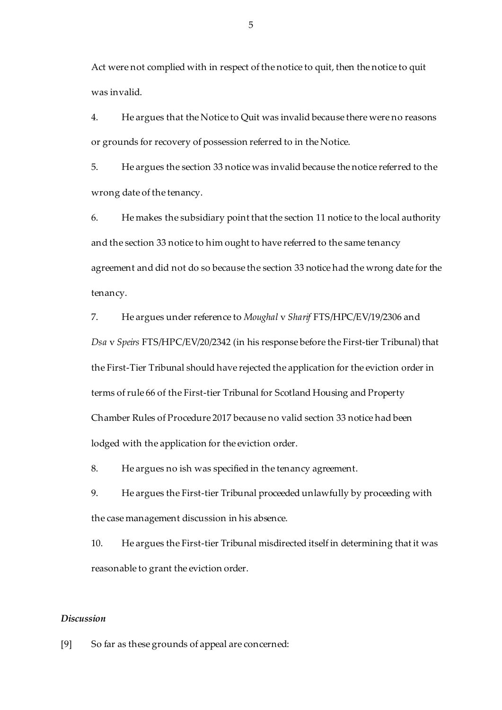Act were not complied with in respect of the notice to quit, then the notice to quit was invalid.

4. He argues that the Notice to Quit was invalid because there were no reasons or grounds for recovery of possession referred to in the Notice.

5. He argues the section 33 notice was invalid because the notice referred to the wrong date of the tenancy.

6. He makes the subsidiary point that the section 11 notice to the local authority and the section 33 notice to him ought to have referred to the same tenancy agreement and did not do so because the section 33 notice had the wrong date for the tenancy.

7. He argues under reference to *Moughal* v *Sharif* FTS/HPC/EV/19/2306 and *Dsa* v *Speirs* FTS/HPC/EV/20/2342 (in his response before the First-tier Tribunal) that the First-Tier Tribunal should have rejected the application for the eviction order in terms of rule 66 of the First-tier Tribunal for Scotland Housing and Property Chamber Rules of Procedure 2017 because no valid section 33 notice had been lodged with the application for the eviction order.

8. He argues no ish was specified in the tenancy agreement.

9. He argues the First-tier Tribunal proceeded unlawfully by proceeding with the case management discussion in his absence.

10. He argues the First-tier Tribunal misdirected itself in determining that it was reasonable to grant the eviction order.

### *Discussion*

[9] So far as these grounds of appeal are concerned: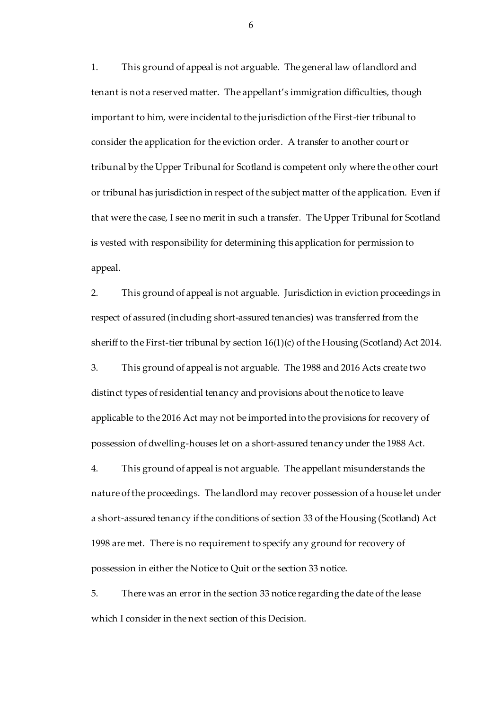1. This ground of appeal is not arguable. The general law of landlord and tenant is not a reserved matter. The appellant's immigration difficulties, though important to him, were incidental to the jurisdiction of the First-tier tribunal to consider the application for the eviction order. A transfer to another court or tribunal by the Upper Tribunal for Scotland is competent only where the other court or tribunal has jurisdiction in respect of the subject matter of the application. Even if that were the case, I see no merit in such a transfer. The Upper Tribunal for Scotland is vested with responsibility for determining this application for permission to appeal.

2. This ground of appeal is not arguable. Jurisdiction in eviction proceedings in respect of assured (including short-assured tenancies) was transferred from the sheriff to the First-tier tribunal by section 16(1)(c) of the Housing (Scotland) Act 2014.

3. This ground of appeal is not arguable. The 1988 and 2016 Acts create two distinct types of residential tenancy and provisions about the notice to leave applicable to the 2016 Act may not be imported into the provisions for recovery of possession of dwelling-houses let on a short-assured tenancy under the 1988 Act.

4. This ground of appeal is not arguable. The appellant misunderstands the nature of the proceedings. The landlord may recover possession of a house let under a short-assured tenancy if the conditions of section 33 of the Housing (Scotland) Act 1998 are met. There is no requirement to specify any ground for recovery of possession in either the Notice to Quit or the section 33 notice.

5. There was an error in the section 33 notice regarding the date of the lease which I consider in the next section of this Decision.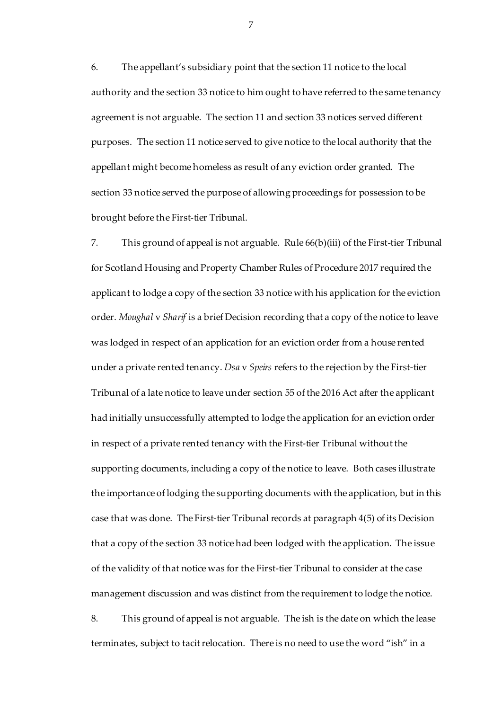6. The appellant's subsidiary point that the section 11 notice to the local authority and the section 33 notice to him ought to have referred to the same tenancy agreement is not arguable. The section 11 and section 33 notices served different purposes. The section 11 notice served to give notice to the local authority that the appellant might become homeless as result of any eviction order granted. The section 33 notice served the purpose of allowing proceedings for possession to be brought before the First-tier Tribunal.

7. This ground of appeal is not arguable. Rule 66(b)(iii) of the First-tier Tribunal for Scotland Housing and Property Chamber Rules of Procedure 2017 required the applicant to lodge a copy of the section 33 notice with his application for the eviction order. *Moughal* v *Sharif* is a brief Decision recording that a copy of the notice to leave was lodged in respect of an application for an eviction order from a house rented under a private rented tenancy. *Dsa* v *Speirs* refers to the rejection by the First-tier Tribunal of a late notice to leave under section 55 of the 2016 Act after the applicant had initially unsuccessfully attempted to lodge the application for an eviction order in respect of a private rented tenancy with the First-tier Tribunal without the supporting documents, including a copy of the notice to leave. Both cases illustrate the importance of lodging the supporting documents with the application, but in this case that was done. The First-tier Tribunal records at paragraph 4(5) of its Decision that a copy of the section 33 notice had been lodged with the application. The issue of the validity of that notice was for the First-tier Tribunal to consider at the case management discussion and was distinct from the requirement to lodge the notice.

8. This ground of appeal is not arguable. The ish is the date on which the lease terminates, subject to tacit relocation. There is no need to use the word "ish" in a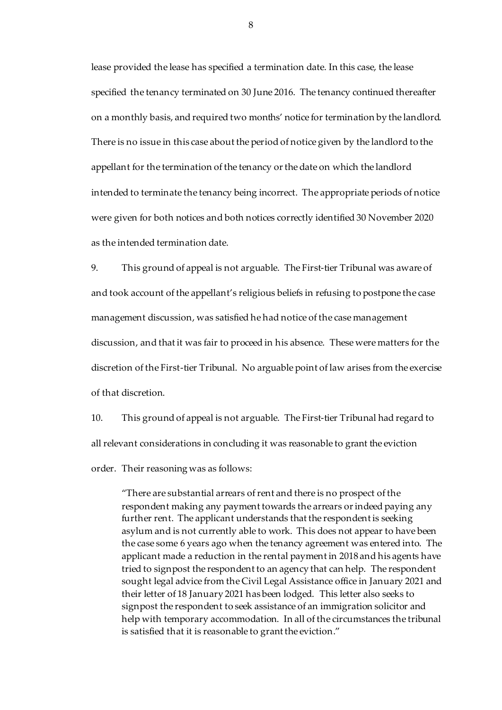lease provided the lease has specified a termination date. In this case, the lease specified the tenancy terminated on 30 June 2016. The tenancy continued thereafter on a monthly basis, and required two months' notice for termination by the landlord. There is no issue in this case about the period of notice given by the landlord to the appellant for the termination of the tenancy or the date on which the landlord intended to terminate the tenancy being incorrect. The appropriate periods of notice were given for both notices and both notices correctly identified 30 November 2020 as the intended termination date.

9. This ground of appeal is not arguable. The First-tier Tribunal was aware of and took account of the appellant's religious beliefs in refusing to postpone the case management discussion, was satisfied he had notice of the case management discussion, and that it was fair to proceed in his absence. These were matters for the discretion of the First-tier Tribunal. No arguable point of law arises from the exercise of that discretion.

10. This ground of appeal is not arguable. The First-tier Tribunal had regard to all relevant considerations in concluding it was reasonable to grant the eviction order. Their reasoning was as follows:

"There are substantial arrears of rent and there is no prospect of the respondent making any payment towards the arrears or indeed paying any further rent. The applicant understands that the respondent is seeking asylum and is not currently able to work. This does not appear to have been the case some 6 years ago when the tenancy agreement was entered into. The applicant made a reduction in the rental payment in 2018 and his agents have tried to signpost the respondent to an agency that can help. The respondent sought legal advice from the Civil Legal Assistance office in January 2021 and their letter of 18 January 2021 has been lodged. This letter also seeks to signpost the respondent to seek assistance of an immigration solicitor and help with temporary accommodation. In all of the circumstances the tribunal is satisfied that it is reasonable to grant the eviction."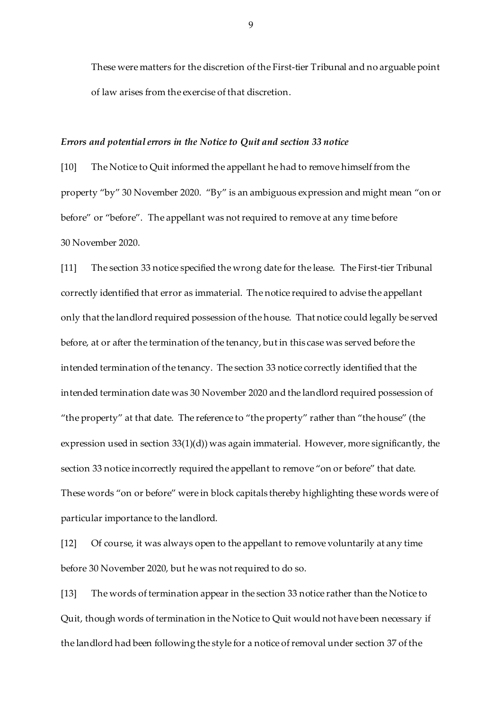These were matters for the discretion of the First-tier Tribunal and no arguable point of law arises from the exercise of that discretion.

#### *Errors and potential errors in the Notice to Quit and section 33 notice*

[10] The Notice to Quit informed the appellant he had to remove himself from the property "by" 30 November 2020. "By" is an ambiguous expression and might mean "on or before" or "before". The appellant was not required to remove at any time before 30 November 2020.

[11] The section 33 notice specified the wrong date for the lease. The First-tier Tribunal correctly identified that error as immaterial. The notice required to advise the appellant only that the landlord required possession of the house. That notice could legally be served before, at or after the termination of the tenancy, but in this case was served before the intended termination of the tenancy. The section 33 notice correctly identified that the intended termination date was 30 November 2020 and the landlord required possession of "the property" at that date. The reference to "the property" rather than "the house" (the expression used in section 33(1)(d)) was again immaterial. However, more significantly, the section 33 notice incorrectly required the appellant to remove "on or before" that date. These words "on or before" were in block capitals thereby highlighting these words were of particular importance to the landlord.

[12] Of course, it was always open to the appellant to remove voluntarily at any time before 30 November 2020, but he was not required to do so.

[13] The words of termination appear in the section 33 notice rather than the Notice to Quit, though words of termination in the Notice to Quit would not have been necessary if the landlord had been following the style for a notice of removal under section 37 of the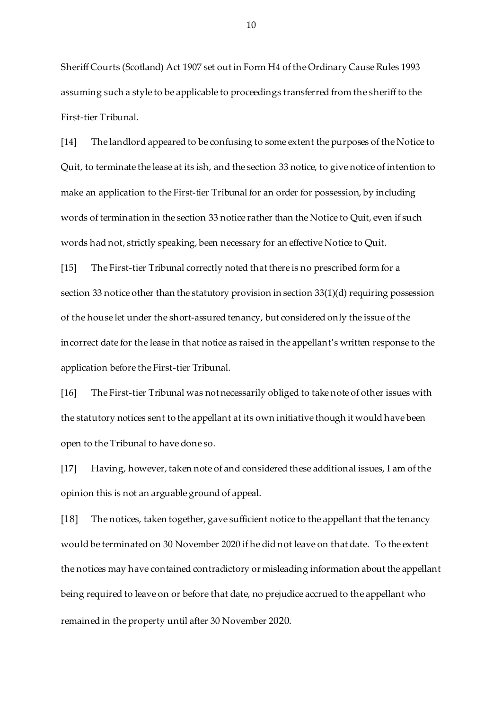Sheriff Courts (Scotland) Act 1907 set out in Form H4 of the Ordinary Cause Rules 1993 assuming such a style to be applicable to proceedings transferred from the sheriff to the First-tier Tribunal.

[14] The landlord appeared to be confusing to some extent the purposes of the Notice to Quit, to terminate the lease at its ish, and the section 33 notice, to give notice of intention to make an application to the First-tier Tribunal for an order for possession, by including words of termination in the section 33 notice rather than the Notice to Quit, even if such words had not, strictly speaking, been necessary for an effective Notice to Quit.

[15] The First-tier Tribunal correctly noted that there is no prescribed form for a section 33 notice other than the statutory provision in section 33(1)(d) requiring possession of the house let under the short-assured tenancy, but considered only the issue of the incorrect date for the lease in that notice as raised in the appellant's written response to the application before the First-tier Tribunal.

[16] The First-tier Tribunal was not necessarily obliged to take note of other issues with the statutory notices sent to the appellant at its own initiative though it would have been open to the Tribunal to have done so.

[17] Having, however, taken note of and considered these additional issues, I am of the opinion this is not an arguable ground of appeal.

[18] The notices, taken together, gave sufficient notice to the appellant that the tenancy would be terminated on 30 November 2020 if he did not leave on that date. To the extent the notices may have contained contradictory or misleading information about the appellant being required to leave on or before that date, no prejudice accrued to the appellant who remained in the property until after 30 November 2020.